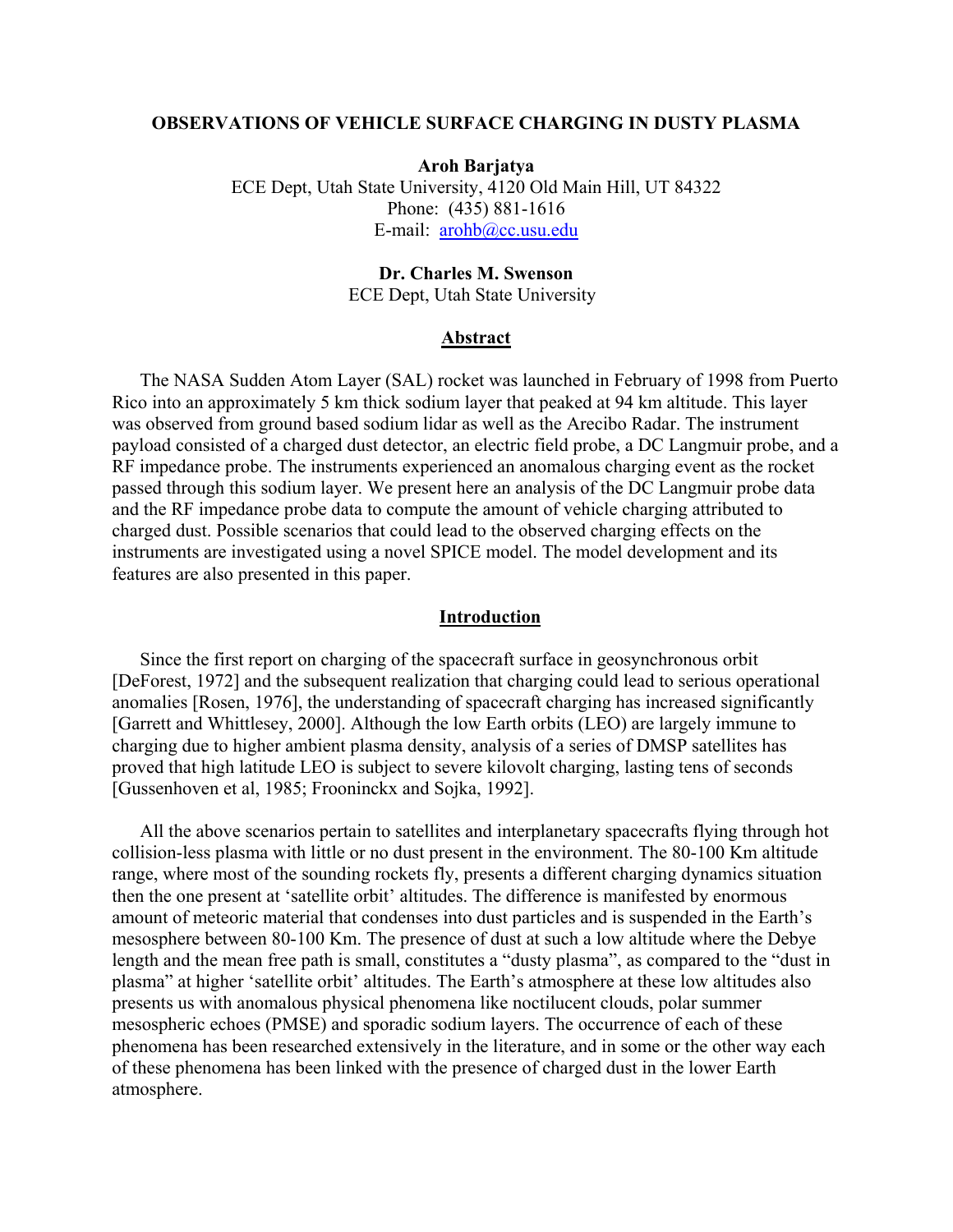## **OBSERVATIONS OF VEHICLE SURFACE CHARGING IN DUSTY PLASMA**

**Aroh Barjatya**  ECE Dept, Utah State University, 4120 Old Main Hill, UT 84322 Phone: (435) 881-1616 E-mail: [arohb@cc.usu.edu](mailto:arohb@cc.usu.edu)

# **Dr. Charles M. Swenson**

ECE Dept, Utah State University

### **Abstract**

The NASA Sudden Atom Layer (SAL) rocket was launched in February of 1998 from Puerto Rico into an approximately 5 km thick sodium layer that peaked at 94 km altitude. This layer was observed from ground based sodium lidar as well as the Arecibo Radar. The instrument payload consisted of a charged dust detector, an electric field probe, a DC Langmuir probe, and a RF impedance probe. The instruments experienced an anomalous charging event as the rocket passed through this sodium layer. We present here an analysis of the DC Langmuir probe data and the RF impedance probe data to compute the amount of vehicle charging attributed to charged dust. Possible scenarios that could lead to the observed charging effects on the instruments are investigated using a novel SPICE model. The model development and its features are also presented in this paper.

#### **Introduction**

Since the first report on charging of the spacecraft surface in geosynchronous orbit [DeForest, 1972] and the subsequent realization that charging could lead to serious operational anomalies [Rosen, 1976], the understanding of spacecraft charging has increased significantly [Garrett and Whittlesey, 2000]. Although the low Earth orbits (LEO) are largely immune to charging due to higher ambient plasma density, analysis of a series of DMSP satellites has proved that high latitude LEO is subject to severe kilovolt charging, lasting tens of seconds [Gussenhoven et al, 1985; Frooninckx and Sojka, 1992].

All the above scenarios pertain to satellites and interplanetary spacecrafts flying through hot collision-less plasma with little or no dust present in the environment. The 80-100 Km altitude range, where most of the sounding rockets fly, presents a different charging dynamics situation then the one present at 'satellite orbit' altitudes. The difference is manifested by enormous amount of meteoric material that condenses into dust particles and is suspended in the Earth's mesosphere between 80-100 Km. The presence of dust at such a low altitude where the Debye length and the mean free path is small, constitutes a "dusty plasma", as compared to the "dust in plasma" at higher 'satellite orbit' altitudes. The Earth's atmosphere at these low altitudes also presents us with anomalous physical phenomena like noctilucent clouds, polar summer mesospheric echoes (PMSE) and sporadic sodium layers. The occurrence of each of these phenomena has been researched extensively in the literature, and in some or the other way each of these phenomena has been linked with the presence of charged dust in the lower Earth atmosphere.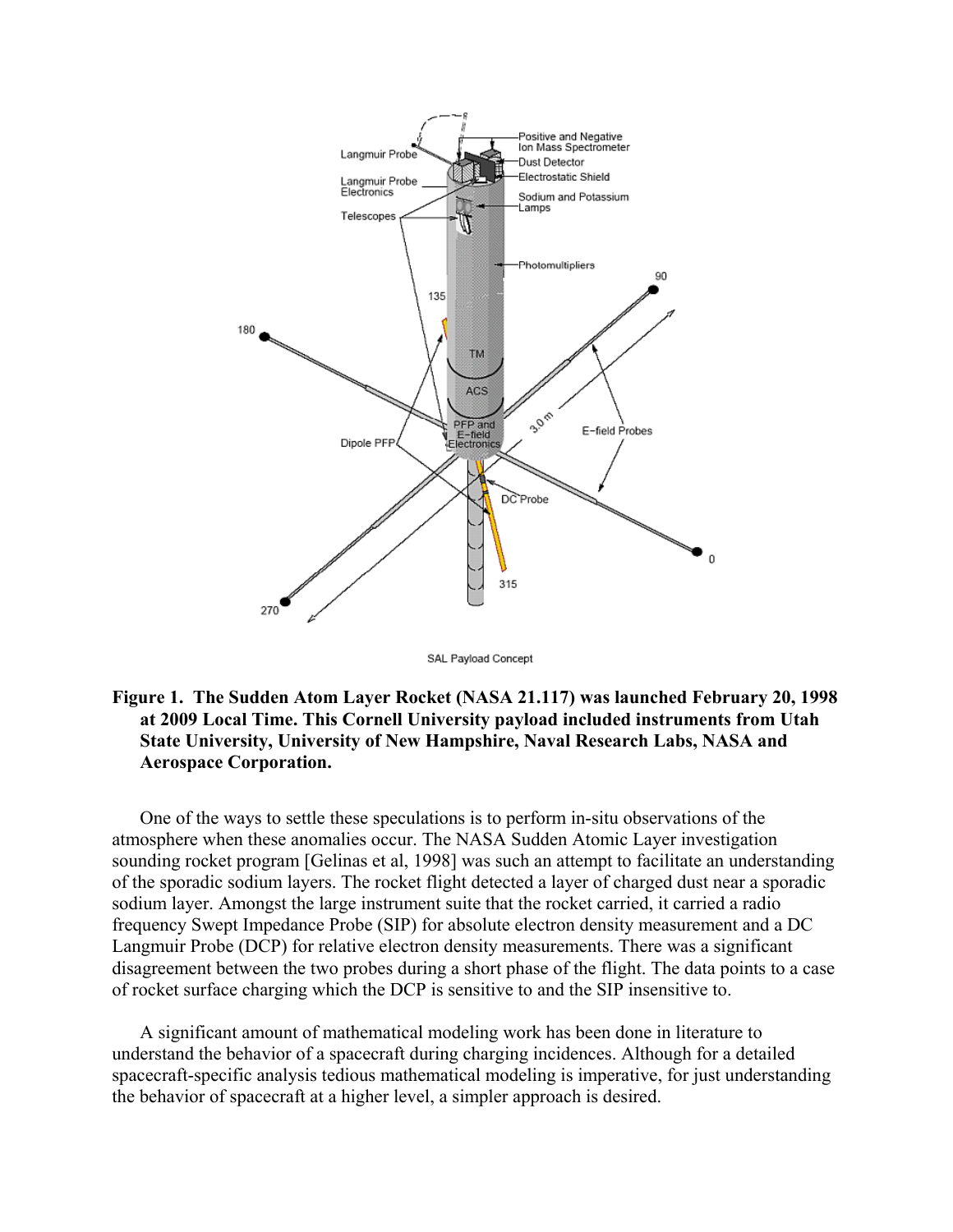

SAL Payload Concept

# **Figure 1. The Sudden Atom Layer Rocket (NASA 21.117) was launched February 20, 1998 at 2009 Local Time. This Cornell University payload included instruments from Utah State University, University of New Hampshire, Naval Research Labs, NASA and Aerospace Corporation.**

One of the ways to settle these speculations is to perform in-situ observations of the atmosphere when these anomalies occur. The NASA Sudden Atomic Layer investigation sounding rocket program [Gelinas et al, 1998] was such an attempt to facilitate an understanding of the sporadic sodium layers. The rocket flight detected a layer of charged dust near a sporadic sodium layer. Amongst the large instrument suite that the rocket carried, it carried a radio frequency Swept Impedance Probe (SIP) for absolute electron density measurement and a DC Langmuir Probe (DCP) for relative electron density measurements. There was a significant disagreement between the two probes during a short phase of the flight. The data points to a case of rocket surface charging which the DCP is sensitive to and the SIP insensitive to.

A significant amount of mathematical modeling work has been done in literature to understand the behavior of a spacecraft during charging incidences. Although for a detailed spacecraft-specific analysis tedious mathematical modeling is imperative, for just understanding the behavior of spacecraft at a higher level, a simpler approach is desired.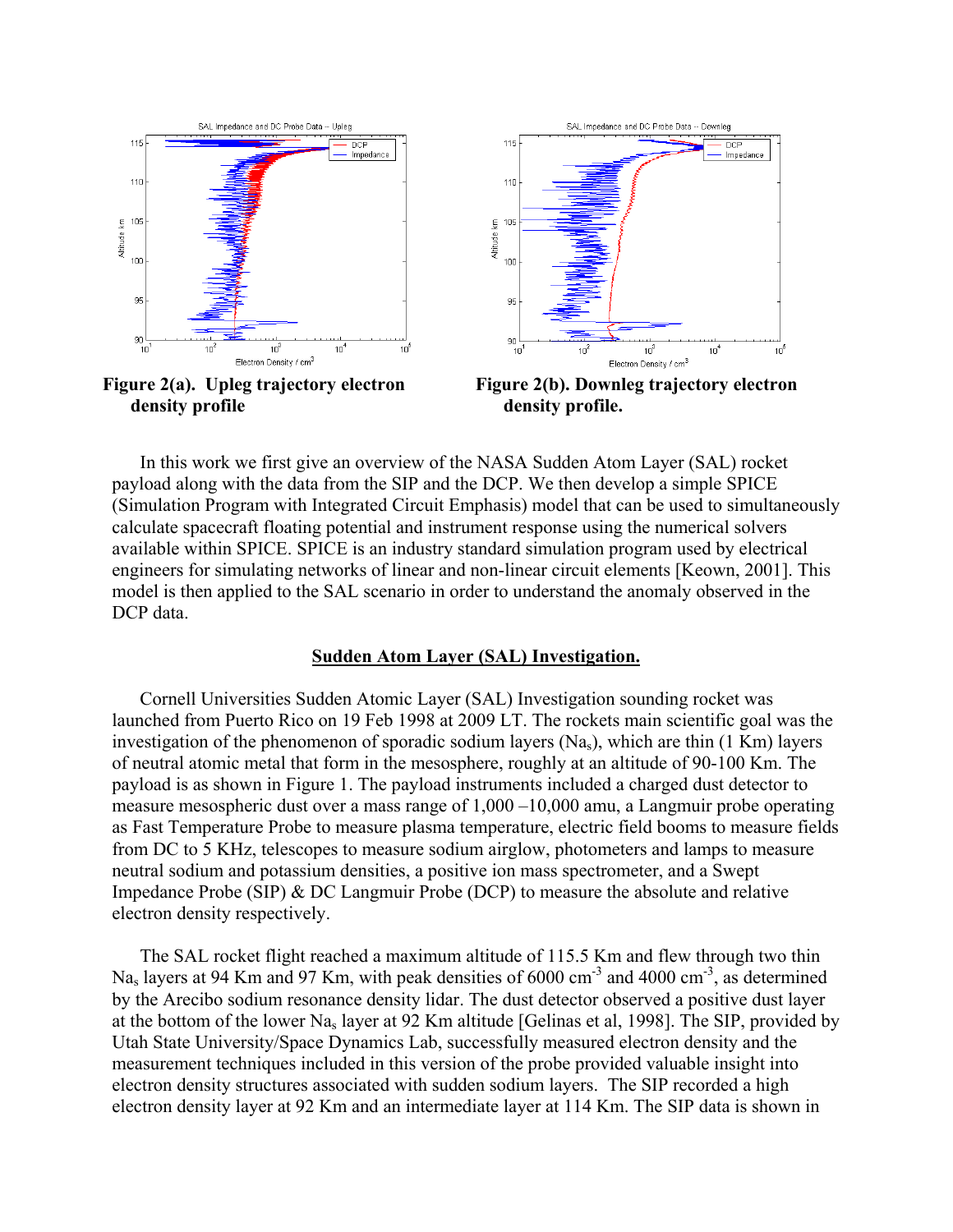





**Figure 2(b). Downleg trajectory electron density profile.** 

In this work we first give an overview of the NASA Sudden Atom Layer (SAL) rocket payload along with the data from the SIP and the DCP. We then develop a simple SPICE (Simulation Program with Integrated Circuit Emphasis) model that can be used to simultaneously calculate spacecraft floating potential and instrument response using the numerical solvers available within SPICE. SPICE is an industry standard simulation program used by electrical engineers for simulating networks of linear and non-linear circuit elements [Keown, 2001]. This model is then applied to the SAL scenario in order to understand the anomaly observed in the DCP data.

#### **Sudden Atom Layer (SAL) Investigation.**

Cornell Universities Sudden Atomic Layer (SAL) Investigation sounding rocket was launched from Puerto Rico on 19 Feb 1998 at 2009 LT. The rockets main scientific goal was the investigation of the phenomenon of sporadic sodium layers (Na<sub>s</sub>), which are thin (1 Km) layers of neutral atomic metal that form in the mesosphere, roughly at an altitude of 90-100 Km. The payload is as shown in Figure 1. The payload instruments included a charged dust detector to measure mesospheric dust over a mass range of 1,000 –10,000 amu, a Langmuir probe operating as Fast Temperature Probe to measure plasma temperature, electric field booms to measure fields from DC to 5 KHz, telescopes to measure sodium airglow, photometers and lamps to measure neutral sodium and potassium densities, a positive ion mass spectrometer, and a Swept Impedance Probe (SIP) & DC Langmuir Probe (DCP) to measure the absolute and relative electron density respectively.

The SAL rocket flight reached a maximum altitude of 115.5 Km and flew through two thin Na<sub>s</sub> layers at 94 Km and 97 Km, with peak densities of 6000 cm<sup>-3</sup> and 4000 cm<sup>-3</sup>, as determined by the Arecibo sodium resonance density lidar. The dust detector observed a positive dust layer at the bottom of the lower Nas layer at 92 Km altitude [Gelinas et al, 1998]. The SIP, provided by Utah State University/Space Dynamics Lab, successfully measured electron density and the measurement techniques included in this version of the probe provided valuable insight into electron density structures associated with sudden sodium layers. The SIP recorded a high electron density layer at 92 Km and an intermediate layer at 114 Km. The SIP data is shown in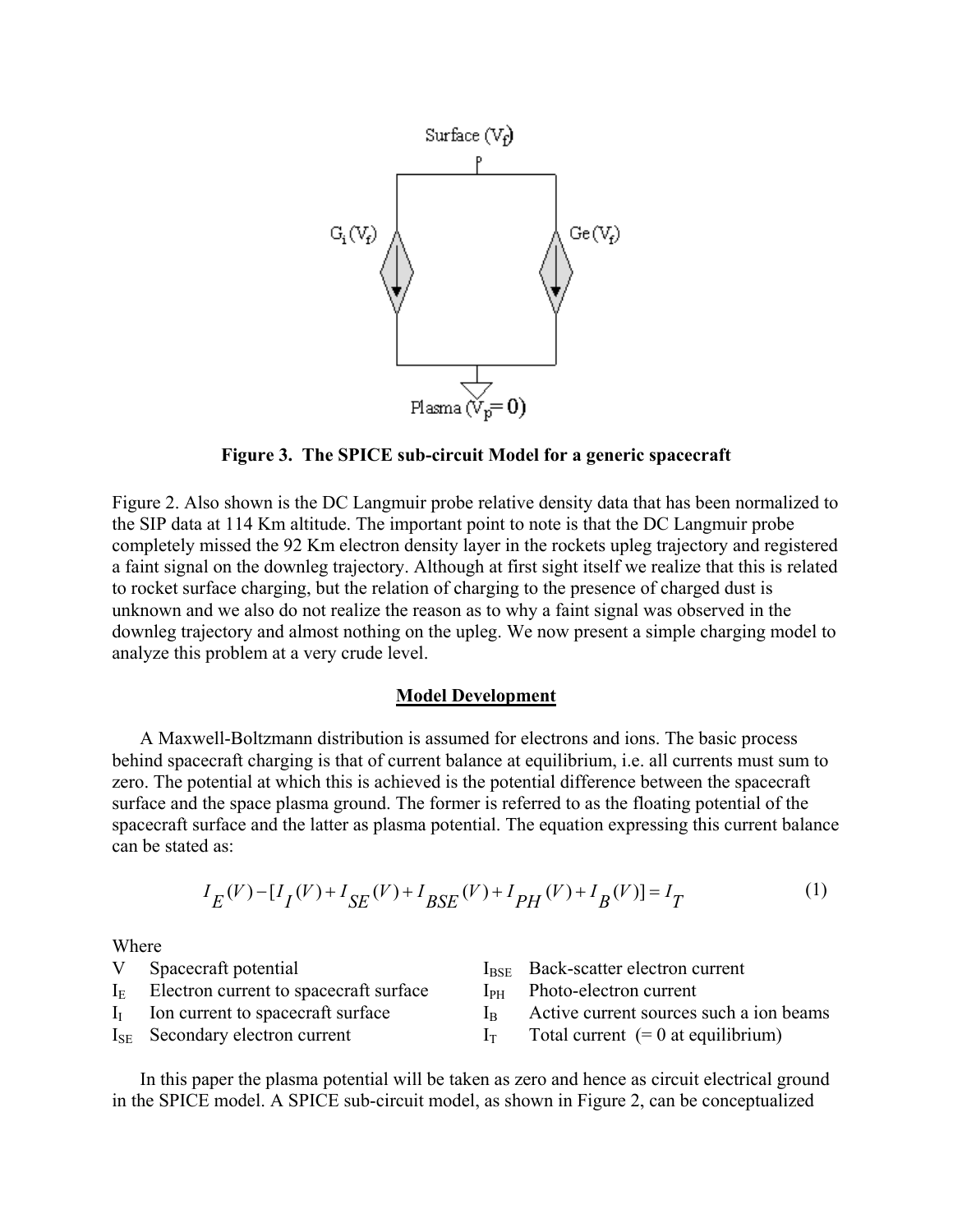

**Figure 3. The SPICE sub-circuit Model for a generic spacecraft** 

Figure 2. Also shown is the DC Langmuir probe relative density data that has been normalized to the SIP data at 114 Km altitude. The important point to note is that the DC Langmuir probe completely missed the 92 Km electron density layer in the rockets upleg trajectory and registered a faint signal on the downleg trajectory. Although at first sight itself we realize that this is related to rocket surface charging, but the relation of charging to the presence of charged dust is unknown and we also do not realize the reason as to why a faint signal was observed in the downleg trajectory and almost nothing on the upleg. We now present a simple charging model to analyze this problem at a very crude level.

### **Model Development**

A Maxwell-Boltzmann distribution is assumed for electrons and ions. The basic process behind spacecraft charging is that of current balance at equilibrium, i.e. all currents must sum to zero. The potential at which this is achieved is the potential difference between the spacecraft surface and the space plasma ground. The former is referred to as the floating potential of the spacecraft surface and the latter as plasma potential. The equation expressing this current balance can be stated as:

$$
I_E(V) - [I_I(V) + I_{SE}(V) + I_{BSE}(V) + I_{PH}(V) + I_B(V)] = I_T
$$
\n(1)

**Where** 

| . |                                             |  |                                                |  |  |
|---|---------------------------------------------|--|------------------------------------------------|--|--|
| V | Spacecraft potential                        |  | I <sub>BSE</sub> Back-scatter electron current |  |  |
|   | $IE$ Electron current to spacecraft surface |  | $IPH$ Photo-electron current                   |  |  |
|   | $II$ Ion current to spacecraft surface      |  | Active current sources such a ion beams        |  |  |
|   | $I_{\text{SE}}$ Secondary electron current  |  | Total current $(= 0$ at equilibrium)           |  |  |

In this paper the plasma potential will be taken as zero and hence as circuit electrical ground in the SPICE model. A SPICE sub-circuit model, as shown in Figure 2, can be conceptualized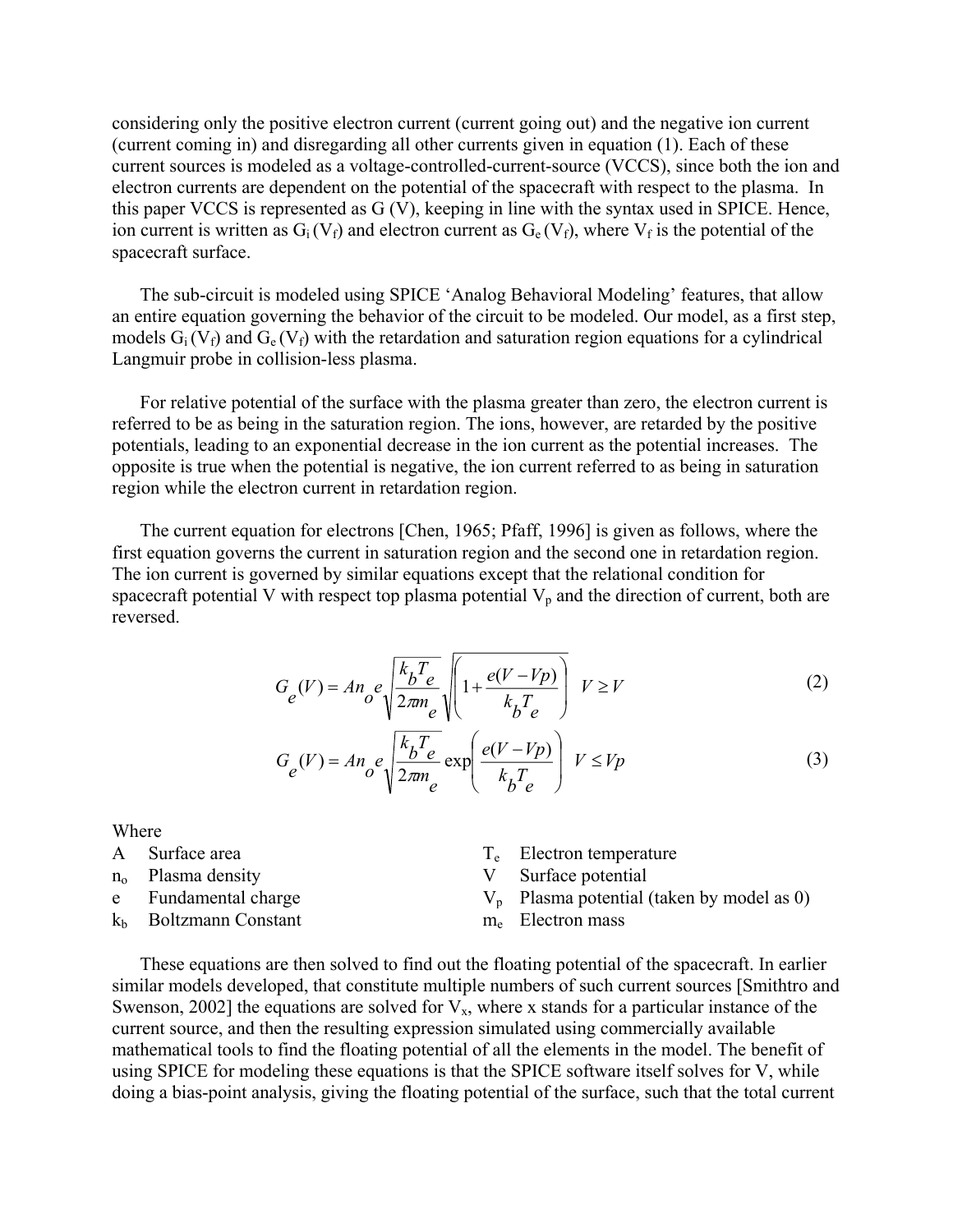considering only the positive electron current (current going out) and the negative ion current (current coming in) and disregarding all other currents given in equation (1). Each of these current sources is modeled as a voltage-controlled-current-source (VCCS), since both the ion and electron currents are dependent on the potential of the spacecraft with respect to the plasma. In this paper VCCS is represented as G (V), keeping in line with the syntax used in SPICE. Hence, ion current is written as  $G_i(V_f)$  and electron current as  $G_e(V_f)$ , where  $V_f$  is the potential of the spacecraft surface.

The sub-circuit is modeled using SPICE 'Analog Behavioral Modeling' features, that allow an entire equation governing the behavior of the circuit to be modeled. Our model, as a first step, models  $G_i(V_f)$  and  $G_e(V_f)$  with the retardation and saturation region equations for a cylindrical Langmuir probe in collision-less plasma.

For relative potential of the surface with the plasma greater than zero, the electron current is referred to be as being in the saturation region. The ions, however, are retarded by the positive potentials, leading to an exponential decrease in the ion current as the potential increases. The opposite is true when the potential is negative, the ion current referred to as being in saturation region while the electron current in retardation region.

The current equation for electrons [Chen, 1965; Pfaff, 1996] is given as follows, where the first equation governs the current in saturation region and the second one in retardation region. The ion current is governed by similar equations except that the relational condition for spacecraft potential V with respect top plasma potential  $V_p$  and the direction of current, both are reversed.

$$
G_e(V) = An_o e \sqrt{\frac{k_b T_e}{2\pi m_e}} \sqrt{\left(1 + \frac{e(V - Vp)}{k_b T_e}\right)} \quad V \ge V \tag{2}
$$

$$
G_e(V) = An_e e \sqrt{\frac{k_b T_e}{2\pi m_e}} \exp\left(\frac{e(V - Vp)}{k_b T_e}\right) V \le Vp
$$
 (3)

Where

A Surface area  $T_e$  Electron temperature n<sub>o</sub> Plasma density V Surface potential e Fundamental charge  $V_p$  Plasma potential (taken by model as 0)  $k_b$  Boltzmann Constant me Electron mass

These equations are then solved to find out the floating potential of the spacecraft. In earlier similar models developed, that constitute multiple numbers of such current sources [Smithtro and Swenson, 2002] the equations are solved for  $V_x$ , where x stands for a particular instance of the current source, and then the resulting expression simulated using commercially available mathematical tools to find the floating potential of all the elements in the model. The benefit of using SPICE for modeling these equations is that the SPICE software itself solves for V, while doing a bias-point analysis, giving the floating potential of the surface, such that the total current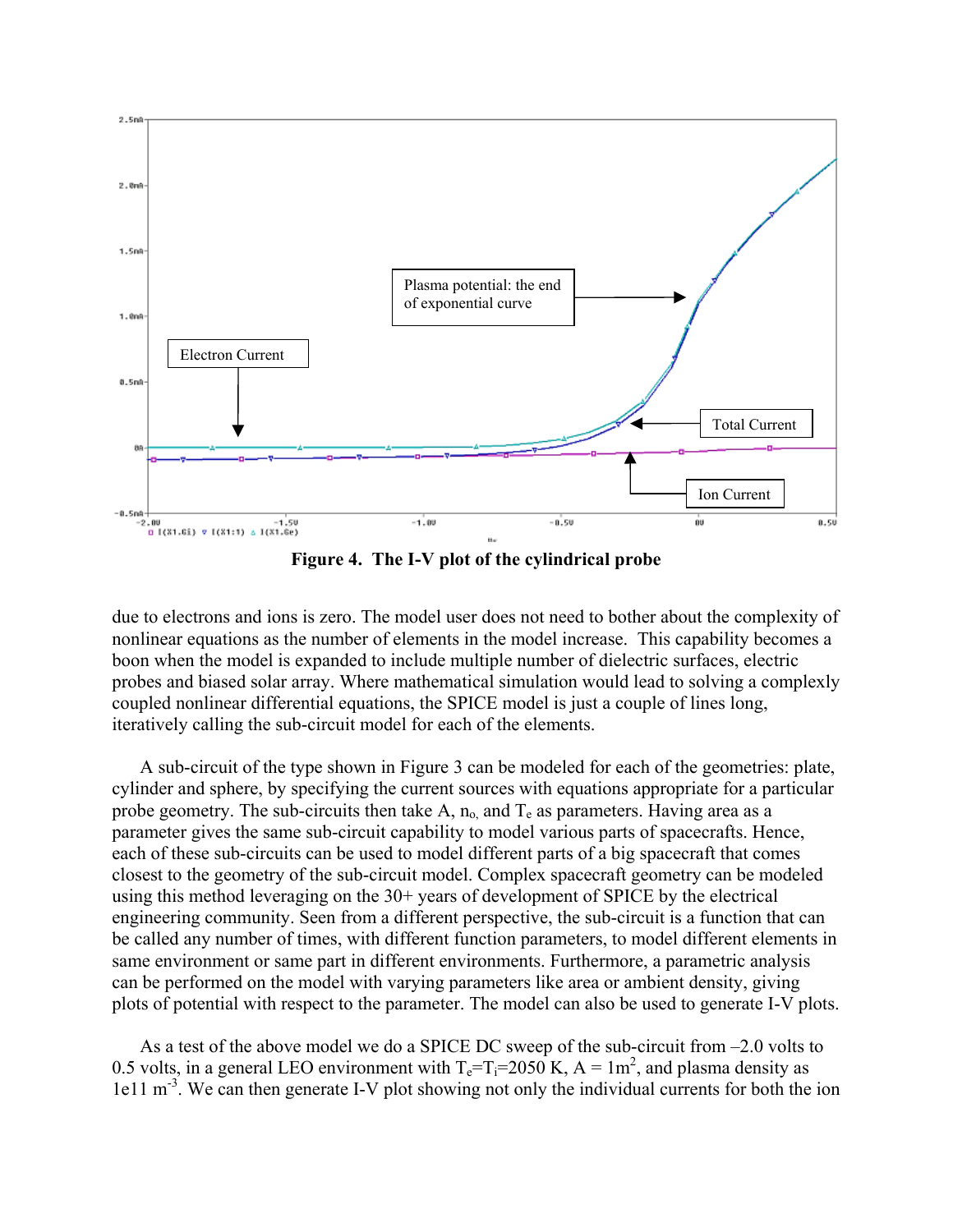

**Figure 4. The I-V plot of the cylindrical probe** 

due to electrons and ions is zero. The model user does not need to bother about the complexity of nonlinear equations as the number of elements in the model increase. This capability becomes a boon when the model is expanded to include multiple number of dielectric surfaces, electric probes and biased solar array. Where mathematical simulation would lead to solving a complexly coupled nonlinear differential equations, the SPICE model is just a couple of lines long, iteratively calling the sub-circuit model for each of the elements.

A sub-circuit of the type shown in Figure 3 can be modeled for each of the geometries: plate, cylinder and sphere, by specifying the current sources with equations appropriate for a particular probe geometry. The sub-circuits then take A,  $n_0$  and  $T_e$  as parameters. Having area as a parameter gives the same sub-circuit capability to model various parts of spacecrafts. Hence, each of these sub-circuits can be used to model different parts of a big spacecraft that comes closest to the geometry of the sub-circuit model. Complex spacecraft geometry can be modeled using this method leveraging on the 30+ years of development of SPICE by the electrical engineering community. Seen from a different perspective, the sub-circuit is a function that can be called any number of times, with different function parameters, to model different elements in same environment or same part in different environments. Furthermore, a parametric analysis can be performed on the model with varying parameters like area or ambient density, giving plots of potential with respect to the parameter. The model can also be used to generate I-V plots.

As a test of the above model we do a SPICE DC sweep of the sub-circuit from –2.0 volts to 0.5 volts, in a general LEO environment with  $T_e = T_i = 2050$  K,  $A = 1$ m<sup>2</sup>, and plasma density as 1e11 m<sup>-3</sup>. We can then generate I-V plot showing not only the individual currents for both the ion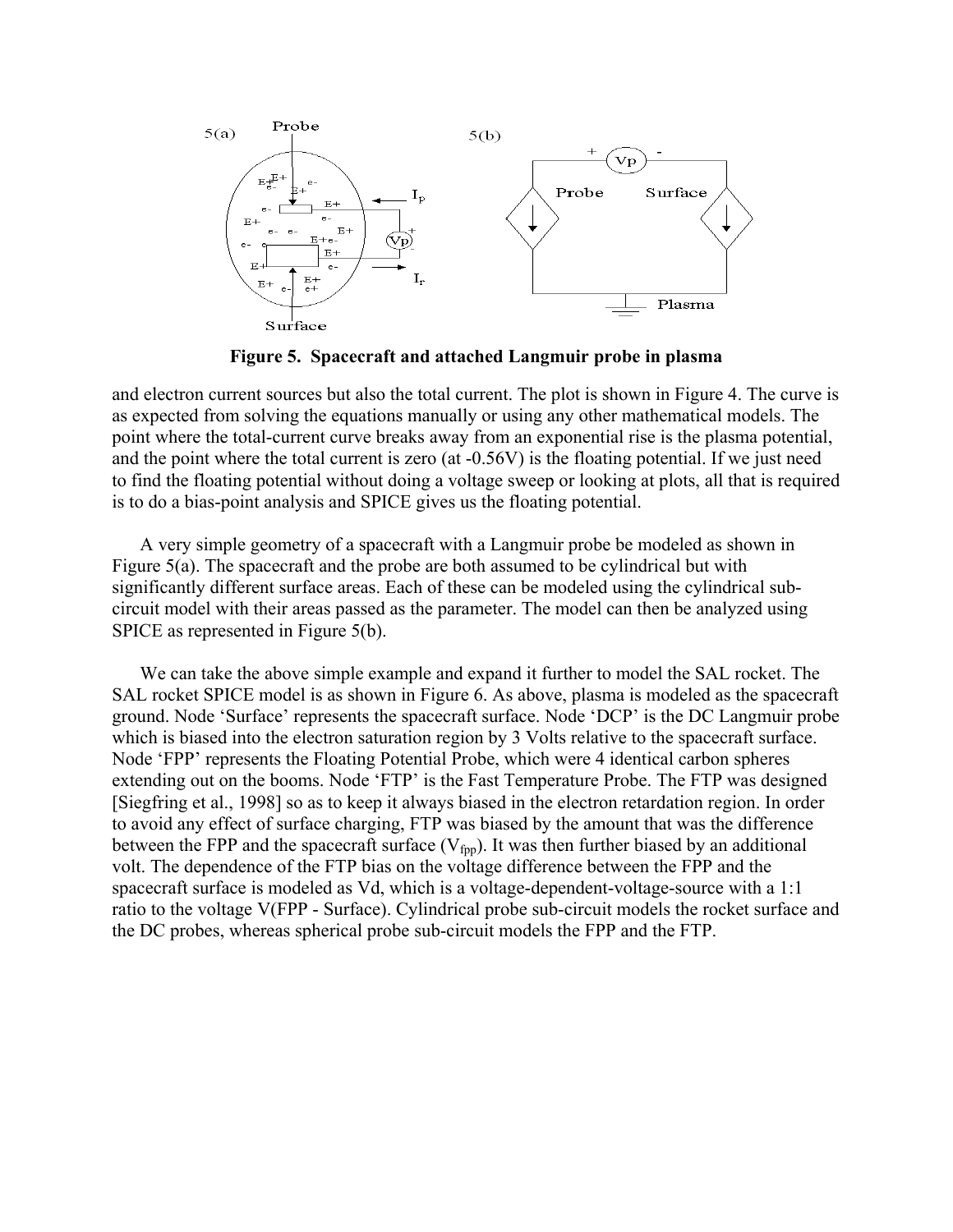

**Figure 5. Spacecraft and attached Langmuir probe in plasma** 

and electron current sources but also the total current. The plot is shown in Figure 4. The curve is as expected from solving the equations manually or using any other mathematical models. The point where the total-current curve breaks away from an exponential rise is the plasma potential, and the point where the total current is zero (at -0.56V) is the floating potential. If we just need to find the floating potential without doing a voltage sweep or looking at plots, all that is required is to do a bias-point analysis and SPICE gives us the floating potential.

A very simple geometry of a spacecraft with a Langmuir probe be modeled as shown in Figure 5(a). The spacecraft and the probe are both assumed to be cylindrical but with significantly different surface areas. Each of these can be modeled using the cylindrical subcircuit model with their areas passed as the parameter. The model can then be analyzed using SPICE as represented in Figure 5(b).

We can take the above simple example and expand it further to model the SAL rocket. The SAL rocket SPICE model is as shown in Figure 6. As above, plasma is modeled as the spacecraft ground. Node 'Surface' represents the spacecraft surface. Node 'DCP' is the DC Langmuir probe which is biased into the electron saturation region by 3 Volts relative to the spacecraft surface. Node 'FPP' represents the Floating Potential Probe, which were 4 identical carbon spheres extending out on the booms. Node 'FTP' is the Fast Temperature Probe. The FTP was designed [Siegfring et al., 1998] so as to keep it always biased in the electron retardation region. In order to avoid any effect of surface charging, FTP was biased by the amount that was the difference between the FPP and the spacecraft surface  $(V_{fpp})$ . It was then further biased by an additional volt. The dependence of the FTP bias on the voltage difference between the FPP and the spacecraft surface is modeled as Vd, which is a voltage-dependent-voltage-source with a 1:1 ratio to the voltage V(FPP - Surface). Cylindrical probe sub-circuit models the rocket surface and the DC probes, whereas spherical probe sub-circuit models the FPP and the FTP.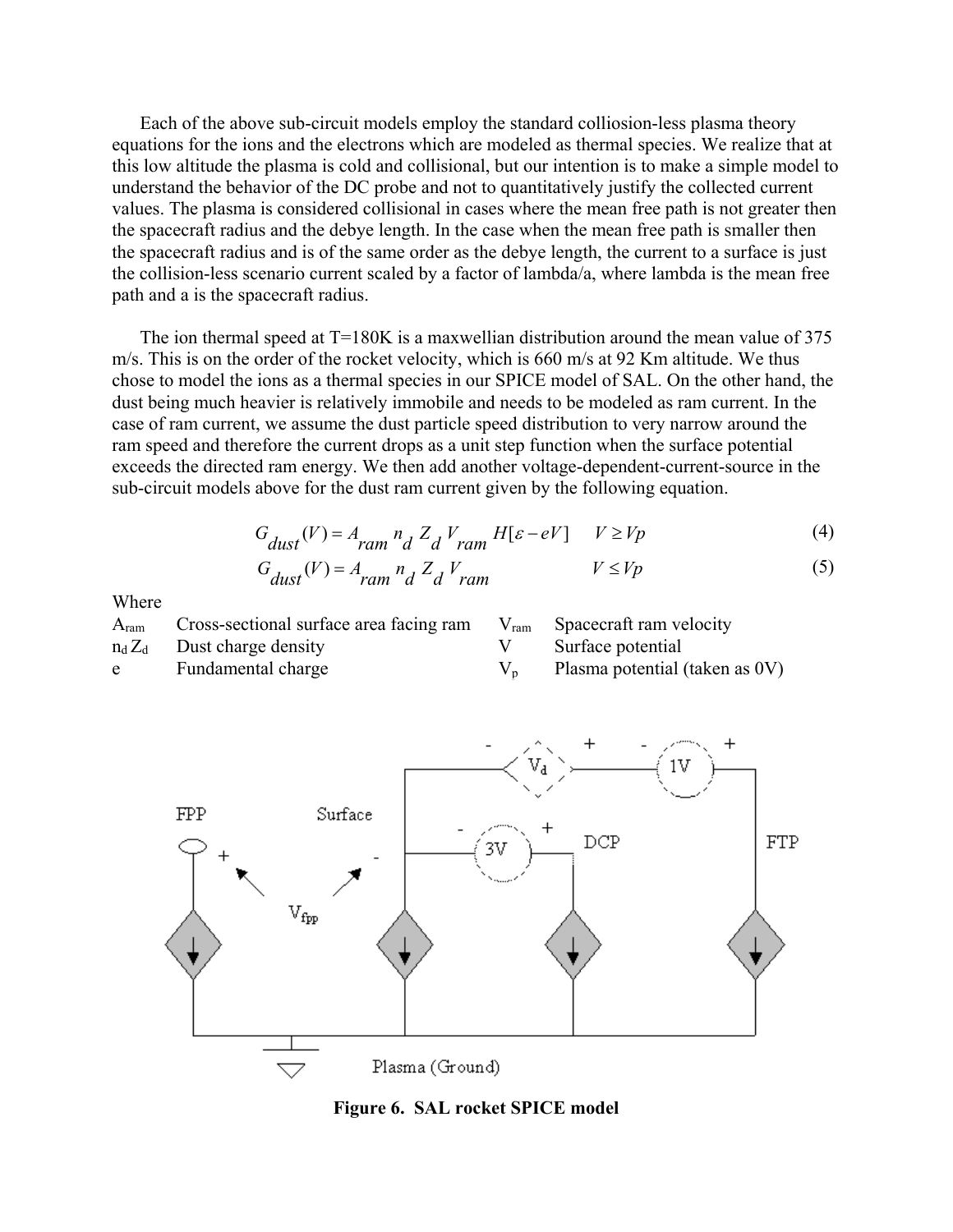Each of the above sub-circuit models employ the standard colliosion-less plasma theory equations for the ions and the electrons which are modeled as thermal species. We realize that at this low altitude the plasma is cold and collisional, but our intention is to make a simple model to understand the behavior of the DC probe and not to quantitatively justify the collected current values. The plasma is considered collisional in cases where the mean free path is not greater then the spacecraft radius and the debye length. In the case when the mean free path is smaller then the spacecraft radius and is of the same order as the debye length, the current to a surface is just the collision-less scenario current scaled by a factor of lambda/a, where lambda is the mean free path and a is the spacecraft radius.

The ion thermal speed at T=180K is a maxwellian distribution around the mean value of 375 m/s. This is on the order of the rocket velocity, which is 660 m/s at 92 Km altitude. We thus chose to model the ions as a thermal species in our SPICE model of SAL. On the other hand, the dust being much heavier is relatively immobile and needs to be modeled as ram current. In the case of ram current, we assume the dust particle speed distribution to very narrow around the ram speed and therefore the current drops as a unit step function when the surface potential exceeds the directed ram energy. We then add another voltage-dependent-current-source in the sub-circuit models above for the dust ram current given by the following equation.

$$
G_{dust}(V) = A_{ram} n_d Z_d V_{ram} H[\varepsilon - eV] \qquad V \ge Vp \tag{4}
$$

$$
G_{dust}(V) = A_{ram} n_d Z_d V_{ram}
$$
  $V \le Vp$  (5)

Where

| $A_{ram}$ | Cross-sectional surface area facing ram | $V_{\text{ram}}$ Spacecraft ram velocity |
|-----------|-----------------------------------------|------------------------------------------|
|           | $n_d Z_d$ Dust charge density           | Surface potential                        |
| e         | Fundamental charge                      | Plasma potential (taken as 0V)           |



**Figure 6. SAL rocket SPICE model**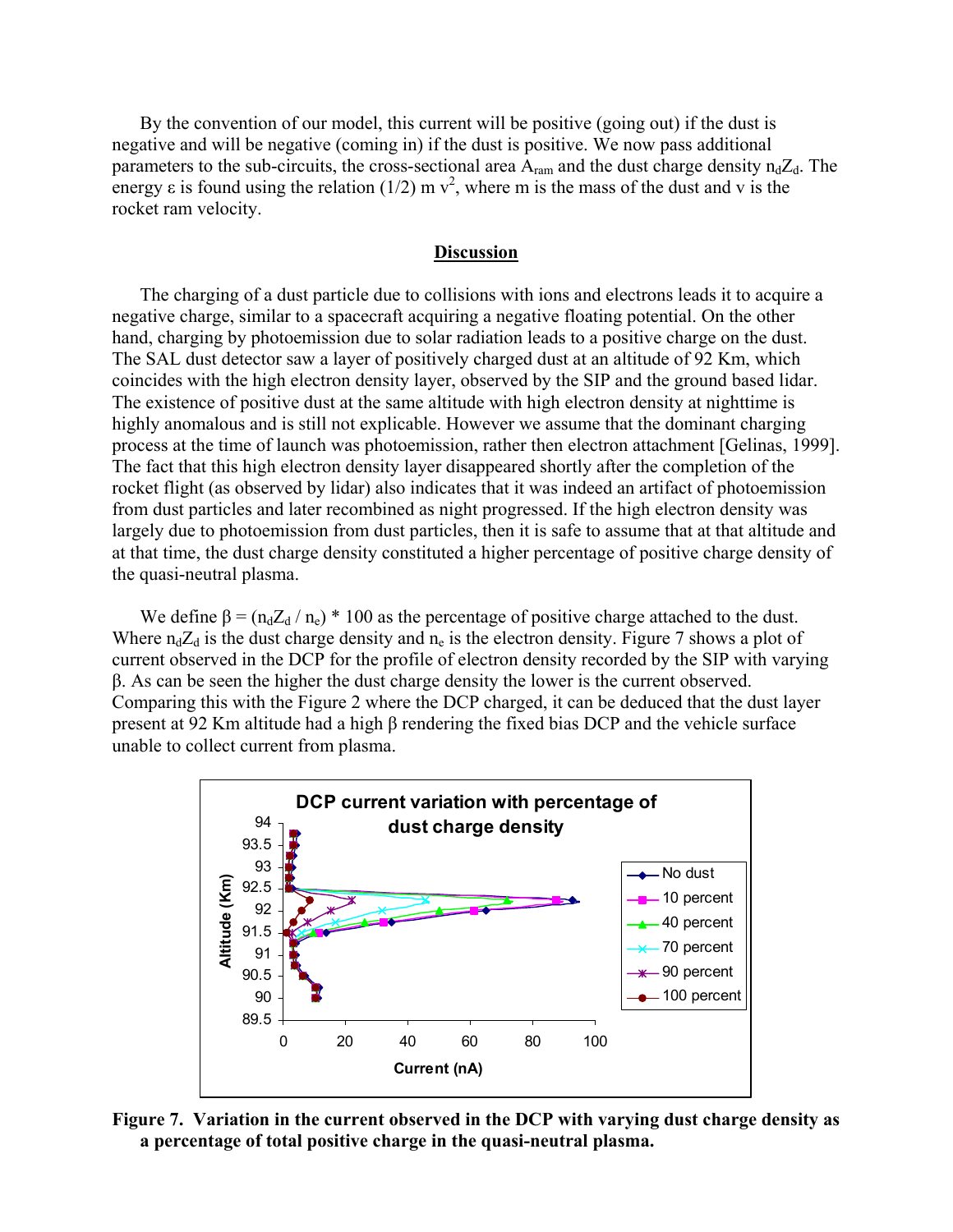By the convention of our model, this current will be positive (going out) if the dust is negative and will be negative (coming in) if the dust is positive. We now pass additional parameters to the sub-circuits, the cross-sectional area  $A_{ram}$  and the dust charge density  $n_dZ_d$ . The energy  $\varepsilon$  is found using the relation (1/2) m  $v^2$ , where m is the mass of the dust and v is the rocket ram velocity.

#### **Discussion**

The charging of a dust particle due to collisions with ions and electrons leads it to acquire a negative charge, similar to a spacecraft acquiring a negative floating potential. On the other hand, charging by photoemission due to solar radiation leads to a positive charge on the dust. The SAL dust detector saw a layer of positively charged dust at an altitude of 92 Km, which coincides with the high electron density layer, observed by the SIP and the ground based lidar. The existence of positive dust at the same altitude with high electron density at nighttime is highly anomalous and is still not explicable. However we assume that the dominant charging process at the time of launch was photoemission, rather then electron attachment [Gelinas, 1999]. The fact that this high electron density layer disappeared shortly after the completion of the rocket flight (as observed by lidar) also indicates that it was indeed an artifact of photoemission from dust particles and later recombined as night progressed. If the high electron density was largely due to photoemission from dust particles, then it is safe to assume that at that altitude and at that time, the dust charge density constituted a higher percentage of positive charge density of the quasi-neutral plasma.

We define  $\beta = (n_d Z_d / n_e)^* 100$  as the percentage of positive charge attached to the dust. Where  $n_dZ_d$  is the dust charge density and  $n_e$  is the electron density. Figure 7 shows a plot of current observed in the DCP for the profile of electron density recorded by the SIP with varying β. As can be seen the higher the dust charge density the lower is the current observed. Comparing this with the Figure 2 where the DCP charged, it can be deduced that the dust layer present at 92 Km altitude had a high β rendering the fixed bias DCP and the vehicle surface unable to collect current from plasma.



**Figure 7. Variation in the current observed in the DCP with varying dust charge density as a percentage of total positive charge in the quasi-neutral plasma.**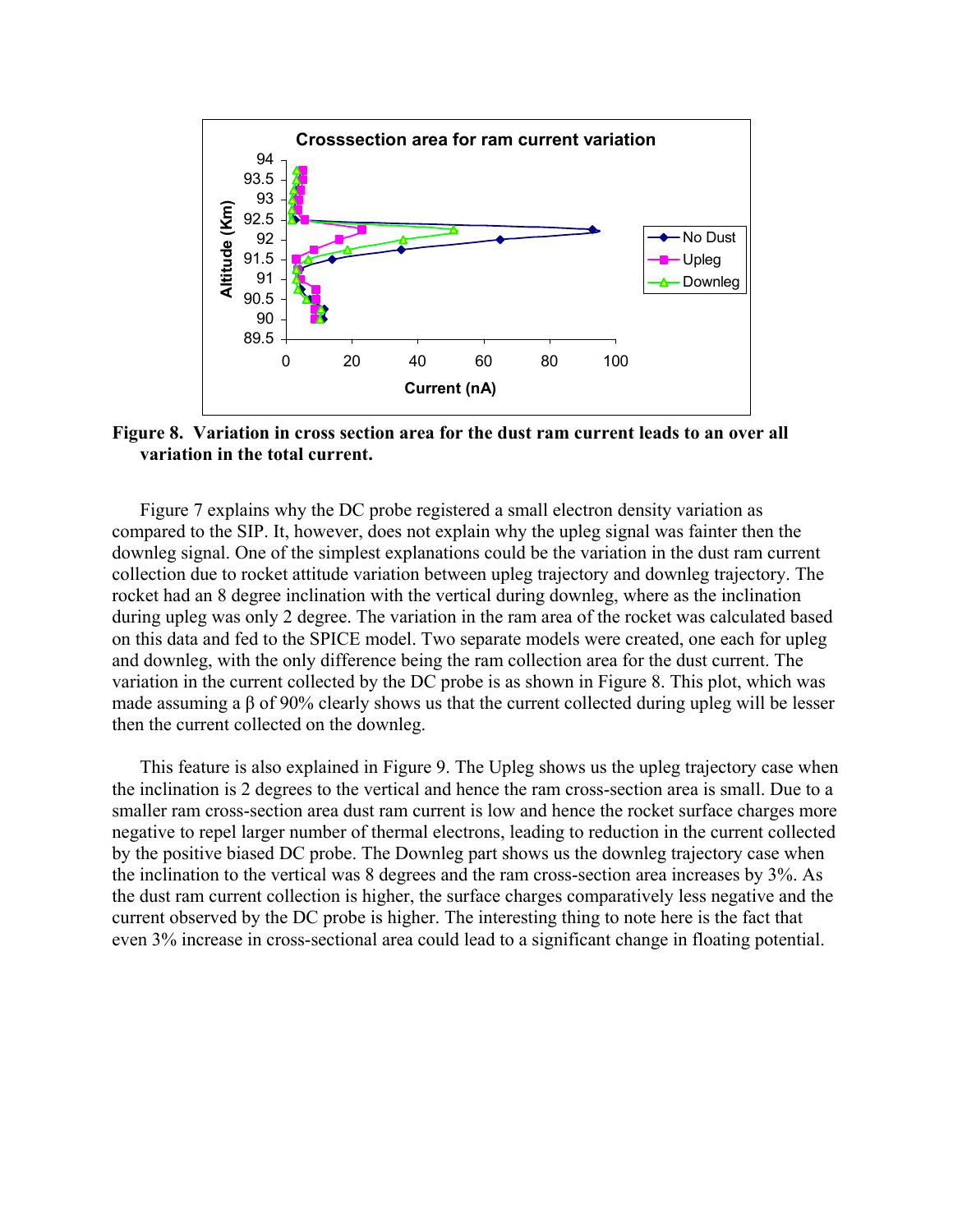

**Figure 8. Variation in cross section area for the dust ram current leads to an over all variation in the total current.**

Figure 7 explains why the DC probe registered a small electron density variation as compared to the SIP. It, however, does not explain why the upleg signal was fainter then the downleg signal. One of the simplest explanations could be the variation in the dust ram current collection due to rocket attitude variation between upleg trajectory and downleg trajectory. The rocket had an 8 degree inclination with the vertical during downleg, where as the inclination during upleg was only 2 degree. The variation in the ram area of the rocket was calculated based on this data and fed to the SPICE model. Two separate models were created, one each for upleg and downleg, with the only difference being the ram collection area for the dust current. The variation in the current collected by the DC probe is as shown in Figure 8. This plot, which was made assuming a  $\beta$  of 90% clearly shows us that the current collected during upleg will be lesser then the current collected on the downleg.

This feature is also explained in Figure 9. The Upleg shows us the upleg trajectory case when the inclination is 2 degrees to the vertical and hence the ram cross-section area is small. Due to a smaller ram cross-section area dust ram current is low and hence the rocket surface charges more negative to repel larger number of thermal electrons, leading to reduction in the current collected by the positive biased DC probe. The Downleg part shows us the downleg trajectory case when the inclination to the vertical was 8 degrees and the ram cross-section area increases by 3%. As the dust ram current collection is higher, the surface charges comparatively less negative and the current observed by the DC probe is higher. The interesting thing to note here is the fact that even 3% increase in cross-sectional area could lead to a significant change in floating potential.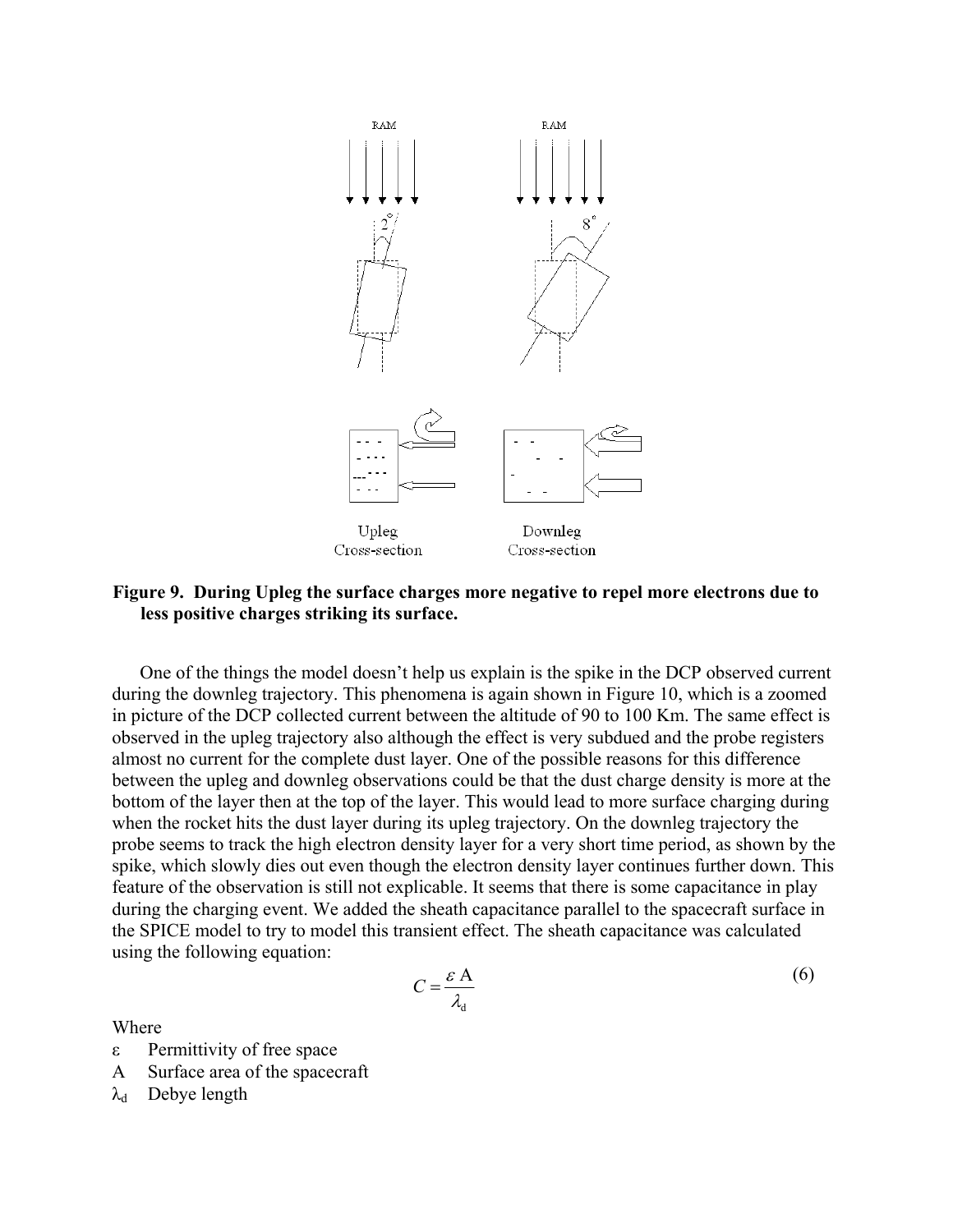

# **Figure 9. During Upleg the surface charges more negative to repel more electrons due to less positive charges striking its surface.**

One of the things the model doesn't help us explain is the spike in the DCP observed current during the downleg trajectory. This phenomena is again shown in Figure 10, which is a zoomed in picture of the DCP collected current between the altitude of 90 to 100 Km. The same effect is observed in the upleg trajectory also although the effect is very subdued and the probe registers almost no current for the complete dust layer. One of the possible reasons for this difference between the upleg and downleg observations could be that the dust charge density is more at the bottom of the layer then at the top of the layer. This would lead to more surface charging during when the rocket hits the dust layer during its upleg trajectory. On the downleg trajectory the probe seems to track the high electron density layer for a very short time period, as shown by the spike, which slowly dies out even though the electron density layer continues further down. This feature of the observation is still not explicable. It seems that there is some capacitance in play during the charging event. We added the sheath capacitance parallel to the spacecraft surface in the SPICE model to try to model this transient effect. The sheath capacitance was calculated using the following equation:

$$
C = \frac{\varepsilon A}{\lambda_d} \tag{6}
$$

Where

- ε Permittivity of free space
- A Surface area of the spacecraft
- $\lambda_d$  Debye length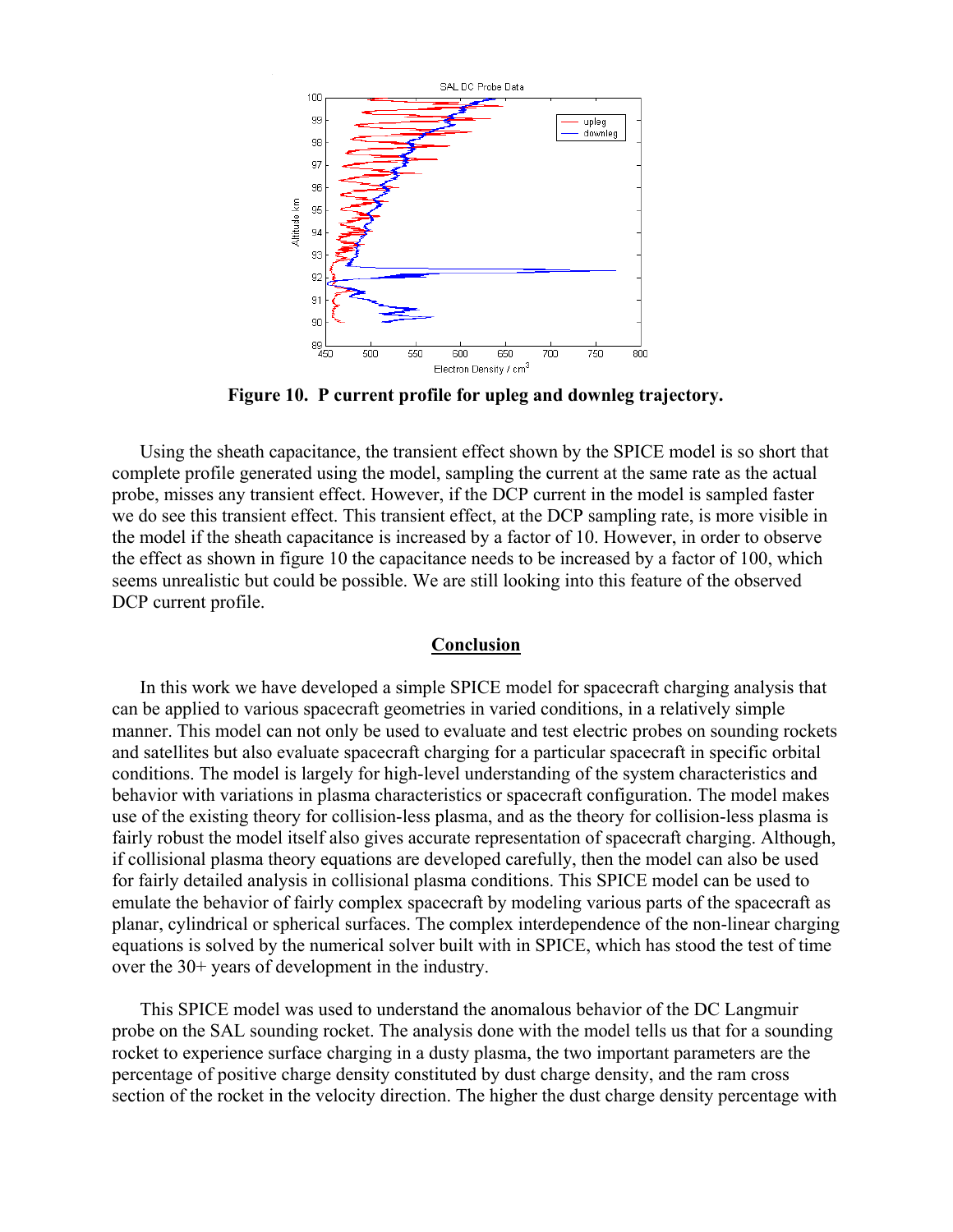

**Figure 10. P current profile for upleg and downleg trajectory.** 

Using the sheath capacitance, the transient effect shown by the SPICE model is so short that complete profile generated using the model, sampling the current at the same rate as the actual probe, misses any transient effect. However, if the DCP current in the model is sampled faster we do see this transient effect. This transient effect, at the DCP sampling rate, is more visible in the model if the sheath capacitance is increased by a factor of 10. However, in order to observe the effect as shown in figure 10 the capacitance needs to be increased by a factor of 100, which seems unrealistic but could be possible. We are still looking into this feature of the observed DCP current profile.

## **Conclusion**

In this work we have developed a simple SPICE model for spacecraft charging analysis that can be applied to various spacecraft geometries in varied conditions, in a relatively simple manner. This model can not only be used to evaluate and test electric probes on sounding rockets and satellites but also evaluate spacecraft charging for a particular spacecraft in specific orbital conditions. The model is largely for high-level understanding of the system characteristics and behavior with variations in plasma characteristics or spacecraft configuration. The model makes use of the existing theory for collision-less plasma, and as the theory for collision-less plasma is fairly robust the model itself also gives accurate representation of spacecraft charging. Although, if collisional plasma theory equations are developed carefully, then the model can also be used for fairly detailed analysis in collisional plasma conditions. This SPICE model can be used to emulate the behavior of fairly complex spacecraft by modeling various parts of the spacecraft as planar, cylindrical or spherical surfaces. The complex interdependence of the non-linear charging equations is solved by the numerical solver built with in SPICE, which has stood the test of time over the 30+ years of development in the industry.

This SPICE model was used to understand the anomalous behavior of the DC Langmuir probe on the SAL sounding rocket. The analysis done with the model tells us that for a sounding rocket to experience surface charging in a dusty plasma, the two important parameters are the percentage of positive charge density constituted by dust charge density, and the ram cross section of the rocket in the velocity direction. The higher the dust charge density percentage with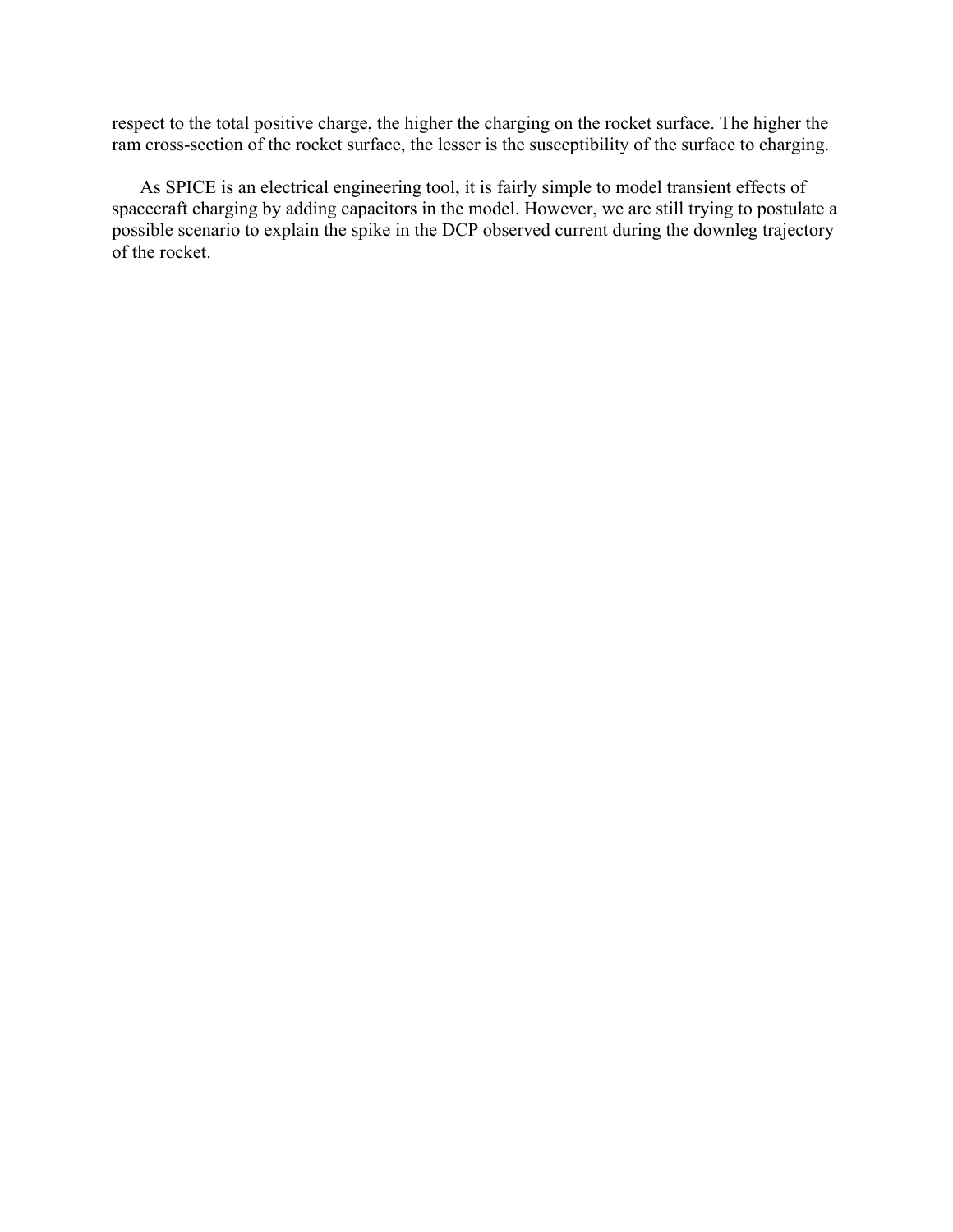respect to the total positive charge, the higher the charging on the rocket surface. The higher the ram cross-section of the rocket surface, the lesser is the susceptibility of the surface to charging.

As SPICE is an electrical engineering tool, it is fairly simple to model transient effects of spacecraft charging by adding capacitors in the model. However, we are still trying to postulate a possible scenario to explain the spike in the DCP observed current during the downleg trajectory of the rocket.